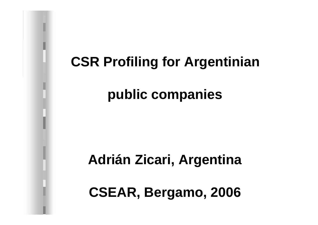# **CSR Profiling for Argentinian**

# **public companies**

## **Adrián Zicari, Argentina**

**CSEAR, Bergamo, 2006**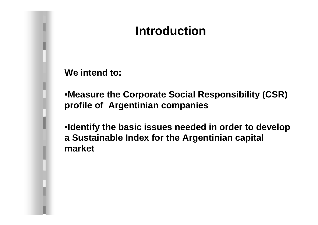## **Introduction**

**We intend to:** 

•**Measure the Corporate Social Responsibility (CSR) profile of Argentinian companies**

•**Identify the basic issues needed in order to develop a Sustainable Index for the Argentinian capital market**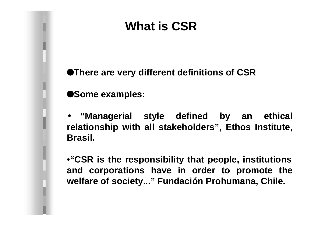## **What is CSR**

**OThere are very different definitions of CSR** 

**Some examples:** 

• **"Managerial style defined by an ethical relationship with all stakeholders", Ethos Institute, Brasil.**

•**"CSR is the responsibility that people, institutions and corporations have in order to promote the welfare of society..." Fundación Prohumana, Chile.**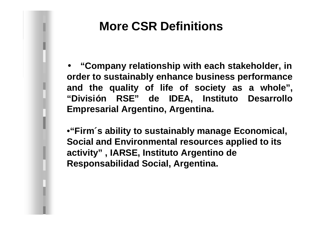#### **More CSR Definitions**

• **"Company relationship with each stakeholder, in order to sustainably enhance business performance and the quality of life of society as a whole" , "División RSE" de IDEA, Instituto Desarrollo Empresarial Argentino, Argentina.**

•**"Firm´s ability to sustainably manage Economical, Social and Environmental resources applied to its activity" , IARSE, Instituto Argentino de Responsabilidad Social, Argentina.**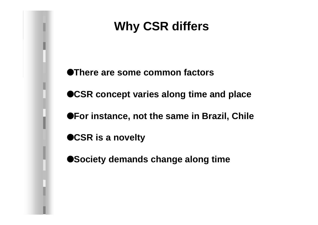## **Why CSR differs**

**OThere are some common factors OCSR concept varies along time and place OFor instance, not the same in Brazil, Chile OCSR is a novelty**  $\bullet$  **Society demands change along time**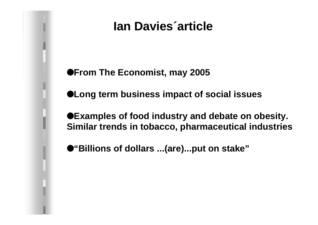## **Ian Davies´article**

 $\bullet$  **From The Economist, may 2005** 

l**Long term business impact of social issues**

 $\bullet$  **Examples of food industry and debate on obesity. Similar trends in tobacco, pharmaceutical industries**

l**"Billions of dollars ...(are)...put on stake"**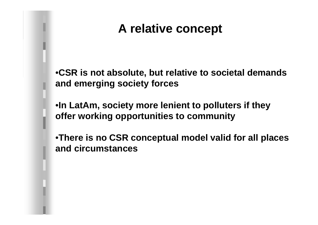## **A relative concept**

•**CSR is not absolute, but relative to societal demands and emerging society forces**

•**In LatAm, society more lenient to polluters if they offer working opportunities to community**

•**There is no CSR conceptual model valid for all places and circumstances**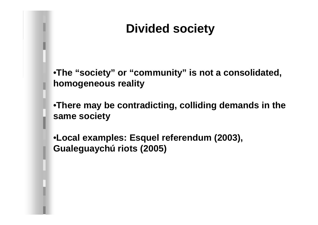## **Divided society**

•**The "society" or "community" is not a consolidated, homogeneous reality**

•**There may be contradicting, colliding demands in the same society**

•**Local examples: Esquel referendum (2003), Gualeguaychú riots (2005)**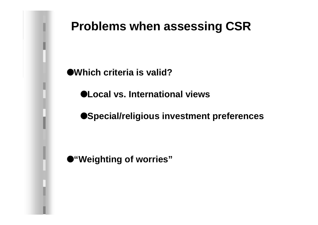#### **Problems when assessing CSR**

l**Which criteria is valid?**

l**Local vs. International views**

 $\bullet$ **Special/religious investment preferences** 

l**"Weighting of worries"**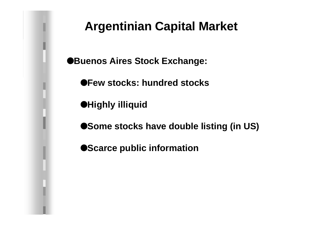#### **Argentinian Capital Market**

**Buenos Aires Stock Exchange:** 

l**Few stocks: hundred stocks**

 $\bullet$ **Highly illiquid** 

 $\bullet$  **Some stocks have double listing (in US)** 

 $\bullet$ **Scarce public information**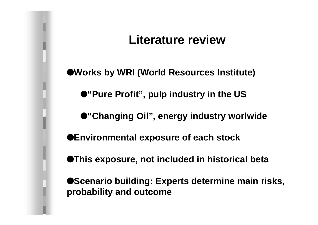## **Literature review**

l**Works by WRI (World Resources Institute)**

 $\bullet$ "Pure Profit", pulp industry in the US

l**"Changing Oil", energy industry worlwide**

l**Environmental exposure of each stock**

**OThis exposure, not included in historical beta** 

**OScenario building: Experts determine main risks, probability and outcome**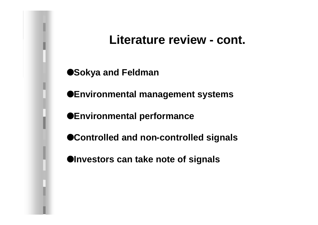#### **Literature review - cont.**

l**Sokya and Feldman**

 $\bullet$ **Environmental management systems** 

l**Environmental performance**

 $\bullet$  **Controlled and non-controlled signals** 

 $\bullet$ **Investors can take note of signals**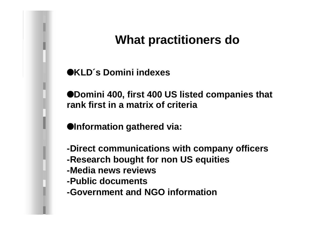## **What practitioners do**

l**KLD´s Domini indexes**

 $\bullet$ **Domini 400, first 400 US listed companies that rank first in a matrix of criteria**

 $\bullet$ **Information gathered via:** 

- **-Direct communications with company officers**
- **-Research bought for non US equities**
- **-Media news reviews**
- **-Public documents**
- **-Government and NGO information**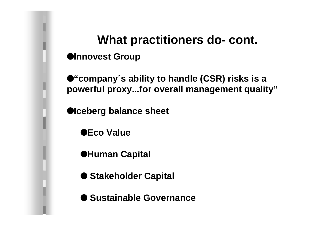## **What practitioners do- cont.**  $\bullet$ **Innovest Group**

l**"company´s ability to handle (CSR) risks is a powerful proxy...for overall management quality"**

**Olceberg balance sheet** 

l**Eco Value**

l**Human Capital**

 $\bullet$  **Stakeholder Capital** 

l **Sustainable Governance**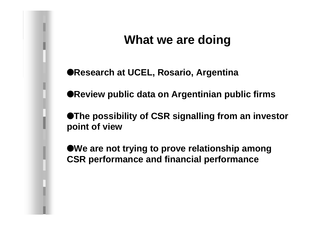## **What we are doing**

l**Research at UCEL, Rosario, Argentina**

**OReview public data on Argentinian public firms** 

**OThe possibility of CSR signalling from an investor point of view**

**We are not trying to prove relationship among CSR performance and financial performance**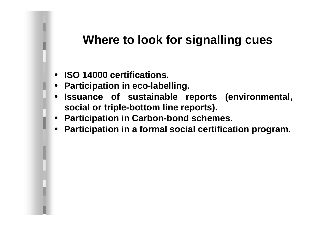## **Where to look for signalling cues**

- **ISO 14000 certifications.**
- **Participation in eco-labelling.**
- **Issuance of sustainable reports (environmental, social or triple-bottom line reports).**
- **Participation in Carbon-bond schemes.**
- **Participation in a formal social certification program.**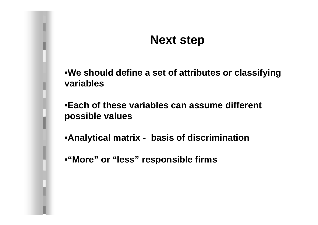#### **Next step**

•**We should define a set of attributes or classifying variables**

•**Each of these variables can assume different possible values** 

•**Analytical matrix - basis of discrimination** 

•**"More" or "less" responsible firms**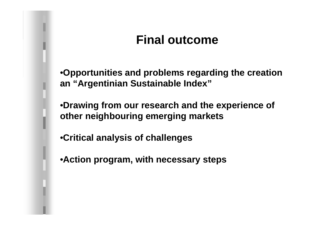## **Final outcome**

•**Opportunities and problems regarding the creation an "Argentinian Sustainable Index"**

•**Drawing from our research and the experience of other neighbouring emerging markets**

•**Critical analysis of challenges**

•**Action program, with necessary steps**